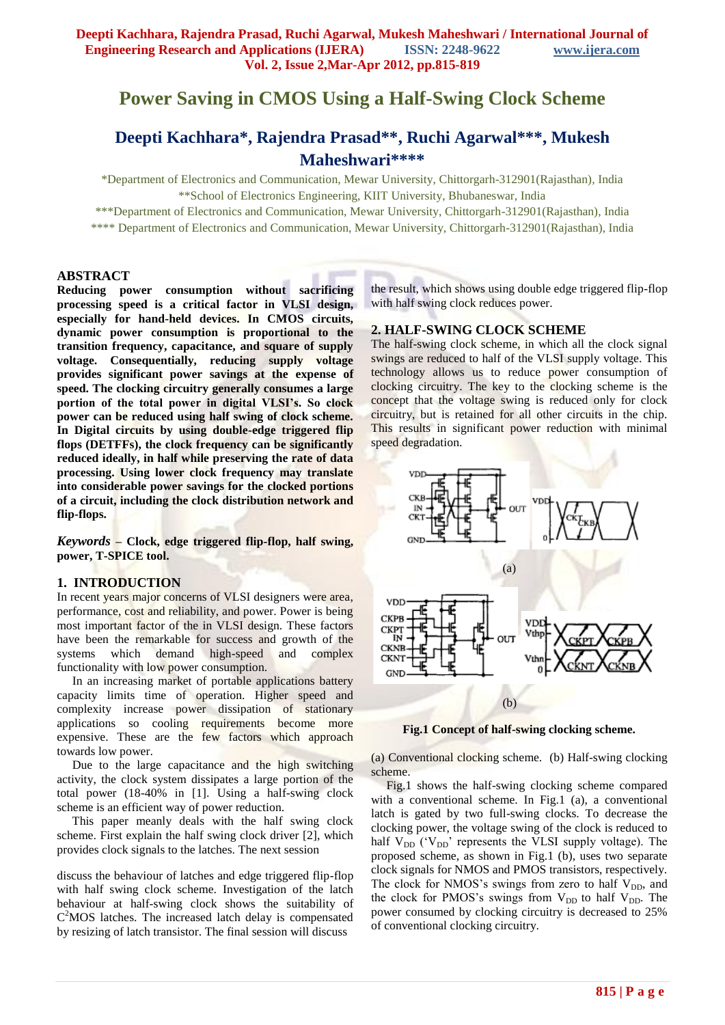# **Power Saving in CMOS Using a Half-Swing Clock Scheme**

## **Deepti Kachhara\*, Rajendra Prasad\*\*, Ruchi Agarwal\*\*\*, Mukesh Maheshwari\*\*\*\***

\*Department of Electronics and Communication, Mewar University, Chittorgarh-312901(Rajasthan), India \*\*School of Electronics Engineering, KIIT University, Bhubaneswar, India

\*\*\*Department of Electronics and Communication, Mewar University, Chittorgarh-312901(Rajasthan), India

\*\*\*\* Department of Electronics and Communication, Mewar University, Chittorgarh-312901(Rajasthan), India

## **ABSTRACT**

**Reducing power consumption without sacrificing processing speed is a critical factor in VLSI design, especially for hand-held devices. In CMOS circuits, dynamic power consumption is proportional to the transition frequency, capacitance, and square of supply voltage. Consequentially, reducing supply voltage provides significant power savings at the expense of speed. The clocking circuitry generally consumes a large portion of the total power in digital VLSI's. So clock power can be reduced using half swing of clock scheme. In Digital circuits by using double-edge triggered flip flops (DETFFs), the clock frequency can be significantly reduced ideally, in half while preserving the rate of data processing. Using lower clock frequency may translate into considerable power savings for the clocked portions of a circuit, including the clock distribution network and flip-flops.** 

*Keywords* **– Clock, edge triggered flip-flop, half swing, power, T-SPICE tool.**

#### **1. INTRODUCTION**

In recent years major concerns of VLSI designers were area, performance, cost and reliability, and power. Power is being most important factor of the in VLSI design. These factors have been the remarkable for success and growth of the systems which demand high-speed and complex functionality with low power consumption.

 In an increasing market of portable applications battery capacity limits time of operation. Higher speed and complexity increase power dissipation of stationary applications so cooling requirements become more expensive. These are the few factors which approach towards low power.

 Due to the large capacitance and the high switching activity, the clock system dissipates a large portion of the total power (18-40% in [1]. Using a half-swing clock scheme is an efficient way of power reduction.

 This paper meanly deals with the half swing clock scheme. First explain the half swing clock driver [2], which provides clock signals to the latches. The next session

discuss the behaviour of latches and edge triggered flip-flop with half swing clock scheme. Investigation of the latch behaviour at half-swing clock shows the suitability of C <sup>2</sup>MOS latches. The increased latch delay is compensated by resizing of latch transistor. The final session will discuss

the result, which shows using double edge triggered flip-flop with half swing clock reduces power.

## **2. HALF-SWING CLOCK SCHEME**

The half-swing clock scheme, in which all the clock signal swings are reduced to half of the VLSI supply voltage. This technology allows us to reduce power consumption of clocking circuitry. The key to the clocking scheme is the concept that the voltage swing is reduced only for clock circuitry, but is retained for all other circuits in the chip. This results in significant power reduction with minimal speed degradation.



**Fig.1 Concept of half-swing clocking scheme.**

(a) Conventional clocking scheme. (b) Half-swing clocking scheme.

 Fig.1 shows the half-swing clocking scheme compared with a conventional scheme. In Fig.1 (a), a conventional latch is gated by two full-swing clocks. To decrease the clocking power, the voltage swing of the clock is reduced to half  $V_{DD}$  ( $V_{DD}$ ' represents the VLSI supply voltage). The proposed scheme, as shown in Fig.1 (b), uses two separate clock signals for NMOS and PMOS transistors, respectively. The clock for NMOS's swings from zero to half  $V_{DD}$ , and the clock for PMOS's swings from  $V_{DD}$  to half  $V_{DD}$ . The power consumed by clocking circuitry is decreased to 25% of conventional clocking circuitry.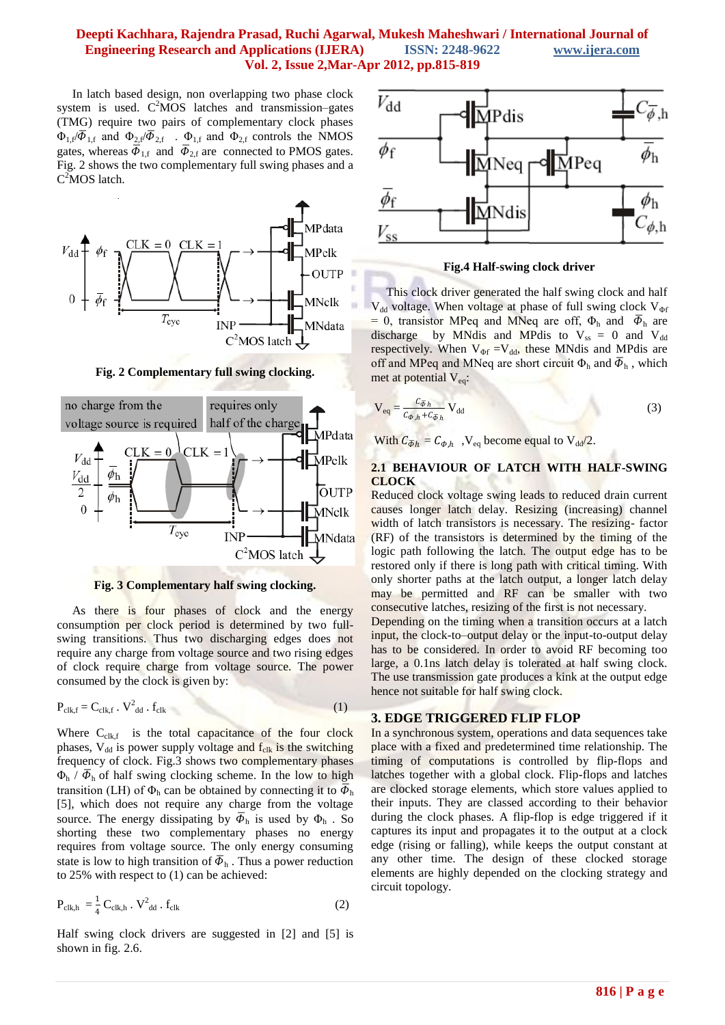## **Deepti Kachhara, Rajendra Prasad, Ruchi Agarwal, Mukesh Maheshwari / International Journal of Engineering Research and Applications (IJERA) ISSN: 2248-9622 www.ijera.com Vol. 2, Issue 2,Mar-Apr 2012, pp.815-819**

 In latch based design, non overlapping two phase clock system is used.  $C^2MOS$  latches and transmission–gates (TMG) require two pairs of complementary clock phases  $\Phi_{1,f}/\overline{\Phi}_{1,f}$  and  $\Phi_{2,f}/\overline{\Phi}_{2,f}$ .  $\Phi_{1,f}$  and  $\Phi_{2,f}$  controls the NMOS gates, whereas  $\overline{\Phi}_{1,f}$  and  $\overline{\Phi}_{2,f}$  are connected to PMOS gates. Fig. 2 shows the two complementary full swing phases and a C<sup>2</sup>MOS latch.



**Fig. 2 Complementary full swing clocking.**





As there is four phases of clock and the energy consumption per clock period is determined by two fullswing transitions. Thus two discharging edges does not require any charge from voltage source and two rising edges of clock require charge from voltage source. The power consumed by the clock is given by:

$$
P_{\text{clk},f} = C_{\text{clk},f} \cdot V_{\text{dd}}^2 \cdot f_{\text{clk}} \tag{1}
$$

Where  $C_{\text{clk},f}$  is the total capacitance of the four clock phases,  $V_{dd}$  is power supply voltage and  $f_{clk}$  is the switching frequency of clock. Fig.3 shows two complementary phases  $\Phi_h$  /  $\overline{\Phi}_h$  of half swing clocking scheme. In the low to high transition (LH) of  $\Phi_h$  can be obtained by connecting it to  $\bar{\Phi}_h$ [5], which does not require any charge from the voltage source. The energy dissipating by  $\overline{\Phi}_{h}$  is used by  $\Phi_{h}$ . So shorting these two complementary phases no energy requires from voltage source. The only energy consuming state is low to high transition of  $\overline{\Phi}_{h}$ . Thus a power reduction to 25% with respect to (1) can be achieved:

$$
P_{\text{clk},h} = \frac{1}{4} C_{\text{clk},h} \cdot V_{\text{dd}}^2 \cdot f_{\text{clk}}
$$
 (2)

Half swing clock drivers are suggested in [2] and [5] is shown in fig. 2.6.



**Fig.4 Half-swing clock driver**

 This clock driver generated the half swing clock and half  $V_{dd}$  voltage. When voltage at phase of full swing clock  $V_{\phi f}$ = 0, transistor MPeq and MNeq are off,  $\Phi_h$  and  $\overline{\Phi}_h$  are discharge by MNdis and MPdis to  $V_{ss} = 0$  and  $V_{dd}$ respectively. When  $V_{\Phi f} = V_{dd}$ , these MNdis and MPdis are off and MPeq and MNeq are short circuit  $\Phi_h$  and  $\overline{\Phi}_h$ , which met at potential  $V_{eq}$ :

$$
V_{eq} = \frac{c_{\bar{\phi}h}}{c_{\phi,h} + c_{\bar{\phi}h}} V_{dd}
$$
 (3)

With  $C_{\overline{\Phi}h} = C_{\Phi,h}$ ,  $V_{eq}$  become equal to  $V_{dd}/2$ .

#### **2.1 BEHAVIOUR OF LATCH WITH HALF-SWING CLOCK**

Reduced clock voltage swing leads to reduced drain current causes longer latch delay. Resizing (increasing) channel width of latch transistors is necessary. The resizing- factor (RF) of the transistors is determined by the timing of the logic path following the latch. The output edge has to be restored only if there is long path with critical timing. With only shorter paths at the latch output, a longer latch delay may be permitted and RF can be smaller with two consecutive latches, resizing of the first is not necessary.

Depending on the timing when a transition occurs at a latch input, the clock-to–output delay or the input-to-output delay has to be considered. In order to avoid RF becoming too large, a 0.1ns latch delay is tolerated at half swing clock. The use transmission gate produces a kink at the output edge hence not suitable for half swing clock.

#### **3. EDGE TRIGGERED FLIP FLOP**

In a synchronous system, operations and data sequences take place with a fixed and predetermined time relationship. The timing of computations is controlled by flip-flops and latches together with a global clock. Flip-flops and latches are clocked storage elements, which store values applied to their inputs. They are classed according to their behavior during the clock phases. A flip-flop is edge triggered if it captures its input and propagates it to the output at a clock edge (rising or falling), while keeps the output constant at any other time. The design of these clocked storage elements are highly depended on the clocking strategy and circuit topology.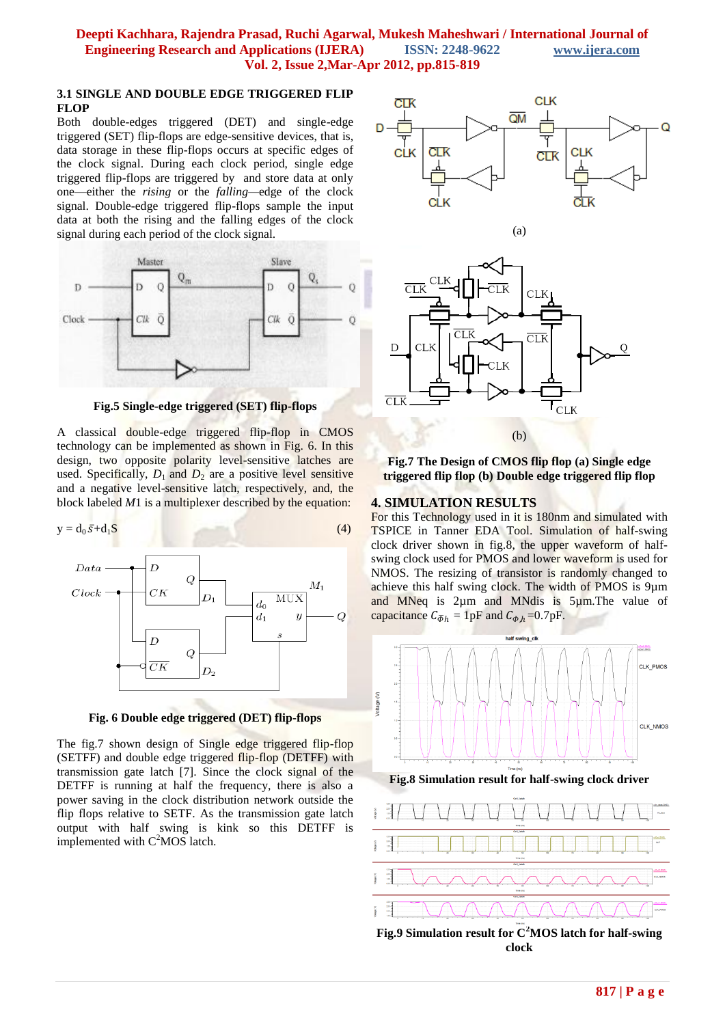### **3.1 SINGLE AND DOUBLE EDGE TRIGGERED FLIP FLOP**

Both double-edges triggered (DET) and single-edge triggered (SET) flip-flops are edge-sensitive devices, that is, data storage in these flip-flops occurs at specific edges of the clock signal. During each clock period, single edge triggered flip-flops are triggered by and store data at only one—either the *rising* or the *falling—*edge of the clock signal. Double-edge triggered flip-flops sample the input data at both the rising and the falling edges of the clock signal during each period of the clock signal.



**Fig.5 Single-edge triggered (SET) flip-flops**

A classical double-edge triggered flip-flop in CMOS technology can be implemented as shown in Fig. 6. In this design, two opposite polarity level-sensitive latches are used. Specifically,  $D_1$  and  $D_2$  are a positive level sensitive and a negative level-sensitive latch, respectively, and, the block labeled *M*1 is a multiplexer described by the equation:

$$
y = d_0 \bar{s} + d_1 S \tag{4}
$$



**Fig. 6 Double edge triggered (DET) flip-flops**

The fig.7 shown design of Single edge triggered flip-flop (SETFF) and double edge triggered flip-flop (DETFF) with transmission gate latch [7]. Since the clock signal of the DETFF is running at half the frequency, there is also a power saving in the clock distribution network outside the flip flops relative to SETF. As the transmission gate latch output with half swing is kink so this DETFF is implemented with  $C^2MOS$  latch.





**Fig.7 The Design of CMOS flip flop (a) Single edge triggered flip flop (b) Double edge triggered flip flop**

## **4. SIMULATION RESULTS**

For this Technology used in it is 180nm and simulated with TSPICE in Tanner EDA Tool. Simulation of half-swing clock driver shown in fig.8, the upper waveform of halfswing clock used for PMOS and lower waveform is used for NMOS. The resizing of transistor is randomly changed to achieve this half swing clock. The width of PMOS is 9µm and MNeq is 2µm and MNdis is 5µm. The value of capacitance  $C_{\overline{\Phi}h} = 1pF$  and  $C_{\Phi,h} = 0.7pF$ .



**Fig.9 Simulation result for C<sup>2</sup>MOS latch for half-swing clock**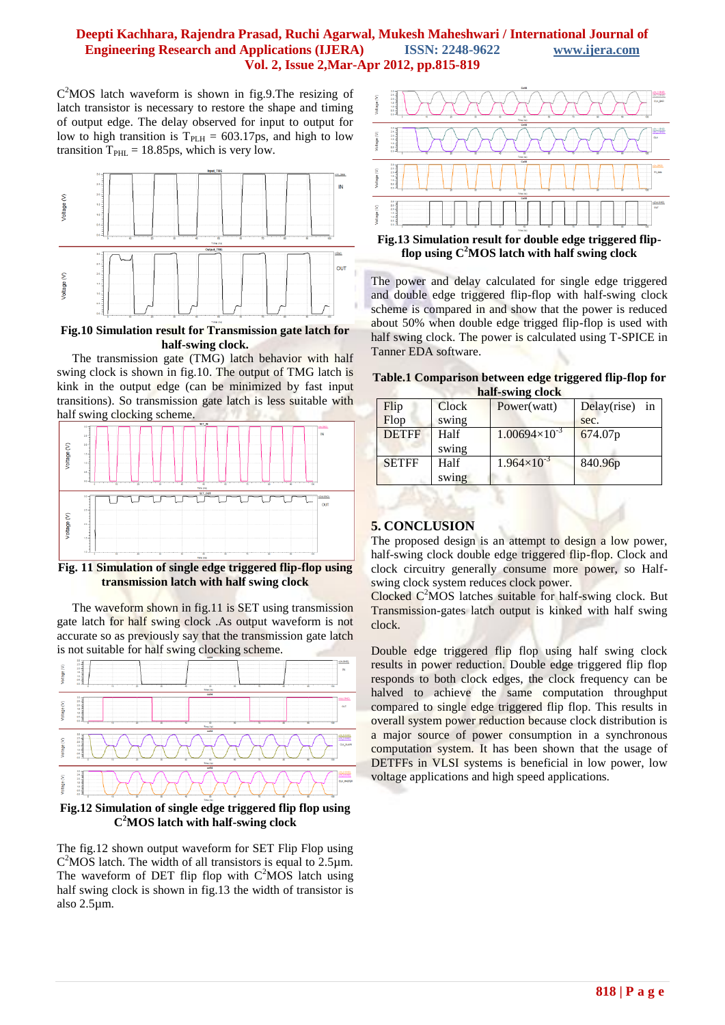## **Deepti Kachhara, Rajendra Prasad, Ruchi Agarwal, Mukesh Maheshwari / International Journal of Engineering Research and Applications (IJERA) ISSN: 2248-9622 www.ijera.com Vol. 2, Issue 2,Mar-Apr 2012, pp.815-819**

C <sup>2</sup>MOS latch waveform is shown in fig.9.The resizing of latch transistor is necessary to restore the shape and timing of output edge. The delay observed for input to output for low to high transition is  $T_{PLH} = 603.17 \text{ps}$ , and high to low transition  $T_{\text{PHL}} = 18.85 \text{ps}$ , which is very low.



**Fig.10 Simulation result for Transmission gate latch for half-swing clock.**

 The transmission gate (TMG) latch behavior with half swing clock is shown in fig.10. The output of TMG latch is kink in the output edge (can be minimized by fast input transitions). So transmission gate latch is less suitable with half swing clocking scheme.



**Fig. 11 Simulation of single edge triggered flip-flop using transmission latch with half swing clock**

 The waveform shown in fig.11 is SET using transmission gate latch for half swing clock .As output waveform is not accurate so as previously say that the transmission gate latch is not suitable for half swing clocking scheme.



**Fig.12 Simulation of single edge triggered flip flop using C <sup>2</sup>MOS latch with half-swing clock**

The fig.12 shown output waveform for SET Flip Flop using  $C<sup>2</sup> MOS$  latch. The width of all transistors is equal to  $2.5 \mu m$ . The waveform of DET flip flop with  $C^2MOS$  latch using half swing clock is shown in fig.13 the width of transistor is also 2.5µm.



**Fig.13 Simulation result for double edge triggered flipflop using C<sup>2</sup>MOS latch with half swing clock**

The power and delay calculated for single edge triggered and double edge triggered flip-flop with half-swing clock scheme is compared in and show that the power is reduced about 50% when double edge trigged flip-flop is used with half swing clock. The power is calculated using T-SPICE in Tanner EDA software.

| Table.1 Comparison between edge triggered flip-flop for<br>half-swing clock |              |       |                        |                      |
|-----------------------------------------------------------------------------|--------------|-------|------------------------|----------------------|
|                                                                             | Flip         | Clock | Power(watt)            | in<br>$Delay$ (rise) |
|                                                                             | Flop         | swing |                        | sec.                 |
|                                                                             | <b>DETFF</b> | Half  | $1.00694\times10^{-3}$ | 674.07p              |

 $1.964\times10^{-3}$ 

840.96p

## **5. CONCLUSION**

SETFF Half

swing

swing

The proposed design is an attempt to design a low power, half-swing clock double edge triggered flip-flop. Clock and clock circuitry generally consume more power, so Halfswing clock system reduces clock power.

Clocked  $C^2MOS$  latches suitable for half-swing clock. But Transmission-gates latch output is kinked with half swing clock.

Double edge triggered flip flop using half swing clock results in power reduction. Double edge triggered flip flop responds to both clock edges, the clock frequency can be halved to achieve the same computation throughput compared to single edge triggered flip flop. This results in overall system power reduction because clock distribution is a major source of power consumption in a synchronous computation system. It has been shown that the usage of DETFFs in VLSI systems is beneficial in low power, low voltage applications and high speed applications.